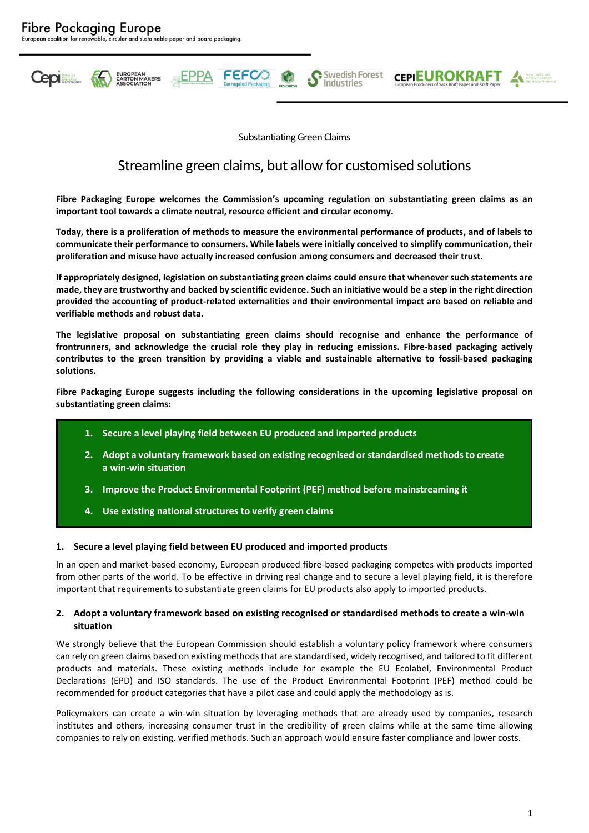

Substantiating Green Claims

**CEPIEUROKRAFT** 

# Streamline green claims, but allow for customised solutions

**Fibre Packaging Europe welcomes the Commission's upcoming regulation on substantiating green claims as an important tool towards a climate neutral, resource efficient and circular economy.** 

**Today, there is a proliferation of methods to measure the environmental performance of products, and of labels to communicate their performance to consumers. While labels were initially conceived to simplify communication, their proliferation and misuse have actually increased confusion among consumers and decreased their trust.**

**If appropriately designed, legislation on substantiating green claims could ensure that whenever such statements are made, they are trustworthy and backed by scientific evidence. Such an initiative would be a step in the right direction provided the accounting of product-related externalities and their environmental impact are based on reliable and verifiable methods and robust data.** 

**The legislative proposal on substantiating green claims should recognise and enhance the performance of frontrunners, and acknowledge the crucial role they play in reducing emissions. Fibre-based packaging actively contributes to the green transition by providing a viable and sustainable alternative to fossil-based packaging solutions.** 

**Fibre Packaging Europe suggests including the following considerations in the upcoming legislative proposal on substantiating green claims:**

- **1. Secure a level playing field between EU produced and imported products**
- **2. Adopt a voluntary framework based on existing recognised or standardised methods to create a win-win situation**
- **3. Improve the Product Environmental Footprint (PEF) method before mainstreaming it**
- **4. Use existing national structures to verify green claims**

### **1. Secure a level playing field between EU produced and imported products**

In an open and market-based economy, European produced fibre-based packaging competes with products imported from other parts of the world. To be effective in driving real change and to secure a level playing field, it is therefore important that requirements to substantiate green claims for EU products also apply to imported products.

## **2. Adopt a voluntary framework based on existing recognised or standardised methods to create a win-win situation**

We strongly believe that the European Commission should establish a voluntary policy framework where consumers can rely on green claims based on existing methods that are standardised, widely recognised, and tailored to fit different products and materials. These existing methods include for example the EU Ecolabel, Environmental Product Declarations (EPD) and ISO standards. The use of the Product Environmental Footprint (PEF) method could be recommended for product categories that have a pilot case and could apply the methodology as is.

Policymakers can create a win-win situation by leveraging methods that are already used by companies, research institutes and others, increasing consumer trust in the credibility of green claims while at the same time allowing companies to rely on existing, verified methods. Such an approach would ensure faster compliance and lower costs.